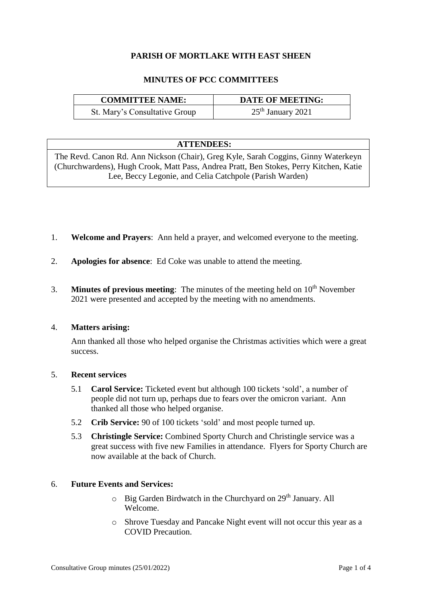# **PARISH OF MORTLAKE WITH EAST SHEEN**

# **MINUTES OF PCC COMMITTEES**

| <b>COMMITTEE NAME:</b>        | <b>DATE OF MEETING:</b> |
|-------------------------------|-------------------------|
| St. Mary's Consultative Group | $25th$ January 2021     |

## **ATTENDEES:**

The Revd. Canon Rd. Ann Nickson (Chair), Greg Kyle, Sarah Coggins, Ginny Waterkeyn (Churchwardens), Hugh Crook, Matt Pass, Andrea Pratt, Ben Stokes, Perry Kitchen, Katie Lee, Beccy Legonie, and Celia Catchpole (Parish Warden)

- 1. **Welcome and Prayers**:Ann held a prayer, and welcomed everyone to the meeting.
- 2. **Apologies for absence**: Ed Coke was unable to attend the meeting.
- 3. **Minutes of previous meeting**: The minutes of the meeting held on 10<sup>th</sup> November 2021 were presented and accepted by the meeting with no amendments.

## 4. **Matters arising:**

Ann thanked all those who helped organise the Christmas activities which were a great success.

## 5. **Recent services**

- 5.1 **Carol Service:** Ticketed event but although 100 tickets 'sold', a number of people did not turn up, perhaps due to fears over the omicron variant. Ann thanked all those who helped organise.
- 5.2 **Crib Service:** 90 of 100 tickets 'sold' and most people turned up.
- 5.3 **Christingle Service:** Combined Sporty Church and Christingle service was a great success with five new Families in attendance. Flyers for Sporty Church are now available at the back of Church.

## 6. **Future Events and Services:**

- $\circ$  Big Garden Birdwatch in the Churchyard on 29<sup>th</sup> January. All Welcome.
- o Shrove Tuesday and Pancake Night event will not occur this year as a COVID Precaution.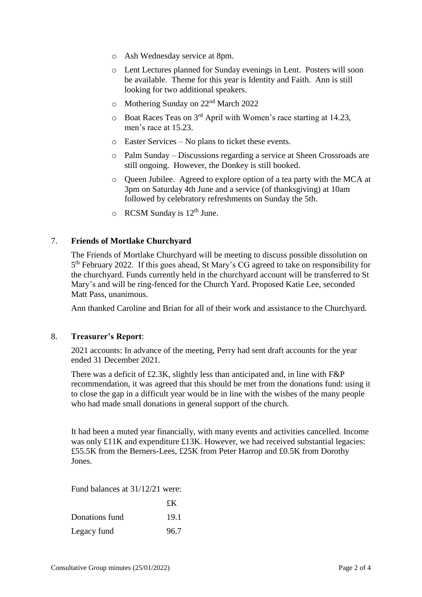- o Ash Wednesday service at 8pm.
- o Lent Lectures planned for Sunday evenings in Lent. Posters will soon be available. Theme for this year is Identity and Faith. Ann is still looking for two additional speakers.
- o Mothering Sunday on 22nd March 2022
- o Boat Races Teas on 3rd April with Women's race starting at 14.23, men's race at 15.23.
- o Easter Services No plans to ticket these events.
- o Palm Sunday Discussions regarding a service at Sheen Crossroads are still ongoing. However, the Donkey is still booked.
- o Queen Jubilee. Agreed to explore option of a tea party with the MCA at 3pm on Saturday 4th June and a service (of thanksgiving) at 10am followed by celebratory refreshments on Sunday the 5th.
- $\circ$  RCSM Sunday is 12<sup>th</sup> June.

## 7. **Friends of Mortlake Churchyard**

The Friends of Mortlake Churchyard will be meeting to discuss possible dissolution on 5<sup>th</sup> February 2022. If this goes ahead, St Mary's CG agreed to take on responsibility for the churchyard. Funds currently held in the churchyard account will be transferred to St Mary's and will be ring-fenced for the Church Yard. Proposed Katie Lee, seconded Matt Pass, unanimous.

Ann thanked Caroline and Brian for all of their work and assistance to the Churchyard.

## 8. **Treasurer's Report**:

2021 accounts: In advance of the meeting, Perry had sent draft accounts for the year ended 31 December 2021.

There was a deficit of £2.3K, slightly less than anticipated and, in line with  $F\&P$ recommendation, it was agreed that this should be met from the donations fund: using it to close the gap in a difficult year would be in line with the wishes of the many people who had made small donations in general support of the church.

It had been a muted year financially, with many events and activities cancelled. Income was only £11K and expenditure £13K. However, we had received substantial legacies: £55.5K from the Berners-Lees, £25K from Peter Harrop and £0.5K from Dorothy Jones.

Fund balances at 31/12/21 were:

|                | £K   |
|----------------|------|
| Donations fund | 19.1 |
| Legacy fund    | 96.7 |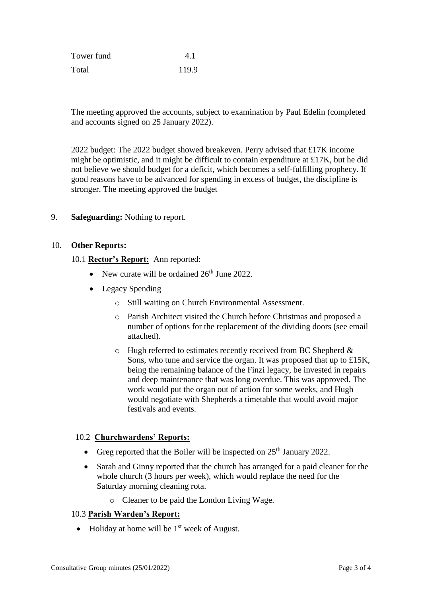| Tower fund | 4.1   |
|------------|-------|
| Total      | 119.9 |

The meeting approved the accounts, subject to examination by Paul Edelin (completed and accounts signed on 25 January 2022).

2022 budget: The 2022 budget showed breakeven. Perry advised that £17K income might be optimistic, and it might be difficult to contain expenditure at £17K, but he did not believe we should budget for a deficit, which becomes a self-fulfilling prophecy. If good reasons have to be advanced for spending in excess of budget, the discipline is stronger. The meeting approved the budget

## 9. **Safeguarding:** Nothing to report.

## 10. **Other Reports:**

## 10.1 **Rector's Report:** Ann reported:

- New curate will be ordained  $26<sup>th</sup>$  June 2022.
- Legacy Spending
	- o Still waiting on Church Environmental Assessment.
	- o Parish Architect visited the Church before Christmas and proposed a number of options for the replacement of the dividing doors (see email attached).
	- o Hugh referred to estimates recently received from BC Shepherd & Sons, who tune and service the organ. It was proposed that up to £15K, being the remaining balance of the Finzi legacy, be invested in repairs and deep maintenance that was long overdue. This was approved. The work would put the organ out of action for some weeks, and Hugh would negotiate with Shepherds a timetable that would avoid major festivals and events.

## 10.2 **Churchwardens' Reports:**

- Greg reported that the Boiler will be inspected on  $25<sup>th</sup>$  January 2022.
- Sarah and Ginny reported that the church has arranged for a paid cleaner for the whole church (3 hours per week), which would replace the need for the Saturday morning cleaning rota.
	- o Cleaner to be paid the London Living Wage.

# 10.3 **Parish Warden's Report:**

 $\bullet$  Holiday at home will be 1<sup>st</sup> week of August.